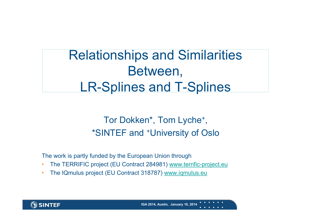## Relationships and Similarities Between, LR-Splines and T-Splines

#### Tor Dokken\*, Tom Lyche+, \*SINTEF and +University of Oslo

The work is partly funded by the European Union through

- •The TERRIFIC project (EU Contract 284981) www.terrific-project.eu
- •The IQmulus project (EU Contract 318787) www.iqmulus.eu

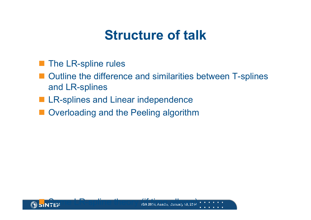## **Structure of talk**

- The LR-spline rules
- Outline the difference and similarities between T-splines and LR-splines
- **LR-splines and Linear independence**
- **Overloading and the Peeling algorithm**

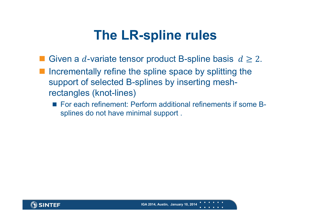## **The LR-spline rules**

- Given a d-variate tensor product B-spline basis  $d \geq 2$ .
- Incrementally refine the spline space by splitting the support of selected B-splines by inserting meshrectangles (knot-lines)
	- For each refinement: Perform additional refinements if some Bsplines do not have minimal support .

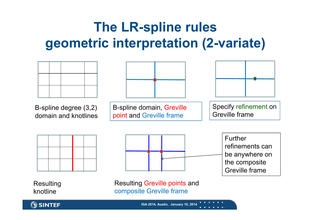# **The LR-spline rules geometric interpretation (2-variate)**



**SINTEF**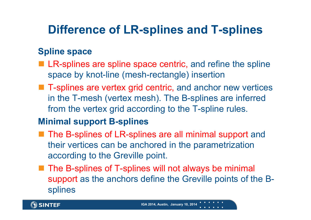#### **Difference of LR-splines and T-splines**

#### **Spline space**

- **LR-splines are spline space centric, and refine the spline** space by knot-line (mesh-rectangle) insertion
- T-splines are vertex grid centric, and anchor new vertices in the T-mesh (vertex mesh). The B-splines are inferred from the vertex grid according to the T-spline rules.

#### **Minimal support B-splines**

- The B-splines of LR-splines are all minimal support and their vertices can be anchored in the parametrization according to the Greville point.
- The B-splines of T-splines will not always be minimal support as the anchors define the Greville points of the Bsplines

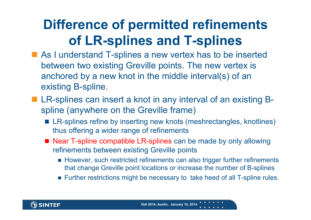# **Difference of permitted refinements of LR-splines and T-splines**

- As I understand T-splines a new vertex has to be inserted between two existing Greville points. The new vertex is anchored by a new knot in the middle interval(s) of an existing B-spline.
- LR-splines can insert a knot in any interval of an existing Bspline (anywhere on the Greville frame)
	- LR-splines refine by inserting new knots (meshrectangles, knotlines) thus offering a wider range of refinements
	- Near T-spline compatible LR-splines can be made by only allowing refinements between existing Greville points
		- However, such restricted refinements can also trigger further refinements that change Greville point locations or increase the number of B-splines
		- **Further restrictions might be necessary to take heed of all T-spline rules.**

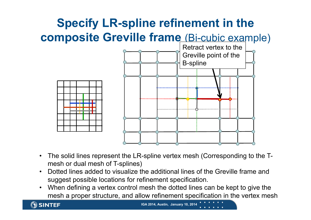

- • The solid lines represent the LR-spline vertex mesh (Corresponding to the Tmesh or dual mesh of T-splines)
- • Dotted lines added to visualize the additional lines of the Greville frame and suggest possible locations for refinement specification.
- • When defining a vertex control mesh the dotted lines can be kept to give the mesh a proper structure, and allow refinement specification in the vertex mesh

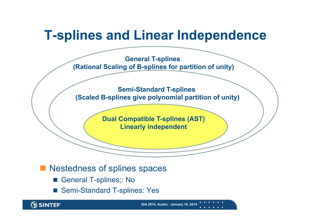#### **T-splines and Linear Independence**

**General T-splines (Rational Scaling of B-splines for partition of unity)**

**Semi-Standard T-splines (Scaled B-splines give polynomial partition of unity)**

> **Dual Compatible T-splines (AST) Linearly independent**

Nestedness of splines spaces

- P. General T-splines;: No
- Semi-Standard T-splines: Yes

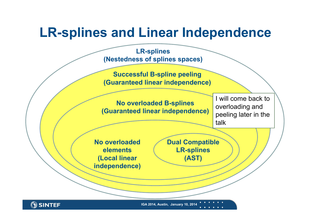### **LR-splines and Linear Independence**



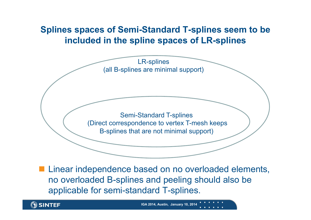#### **Splines spaces of Semi-Standard T-splines seem to be included in the spline spaces of LR-splines**



**Linear independence based on no overloaded elements,** no overloaded B-splines and peeling should also be applicable for semi-standard T-splines.

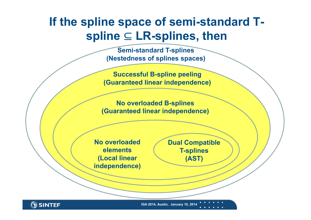#### **If the spline space of semi-standard T**spline ⊆ LR-splines, then

**Semi-standard T-splines (Nestedness of splines spaces)**

**Successful B-spline peeling (Guaranteed linear independence)**

**No overloaded B-splines (Guaranteed linear independence)**

**No overloaded elements(Local linear independence)** **Dual Compatible T-splines (AST)**

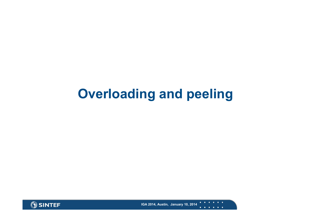## **Overloading and peeling**



 $\mathbf{u}=\mathbf{u}+\mathbf{u}$  . **IGA 2014, Austin, January 10, 2014 All All Andrews**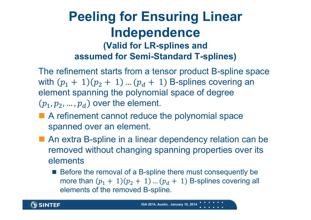#### **Peeling for Ensuring Linear Independence (Valid for LR-splines and assumed for Semi-Standard T-splines)**

The refinement starts from a tensor product B-spline space with  $(p_1 + 1)(p_2 + 1)$  ...  $(p_d + 1)$  B-splines covering an element spanning the polynomial space of degree  $(p_1, p_2, ..., p_d)$  over the element.

- A refinement cannot reduce the polynomial space spanned over an element.
- An extra B-spline in a linear dependency relation can be removed without changing spanning properties over its elements
	- Before the removal of a B-spline there must consequently be more than  $(p_1 + 1)(p_2 + 1)$  ...  $(p_d + 1)$  B-splines covering all elements of the removed B-spline.

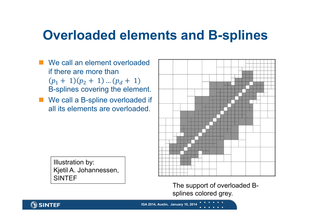#### **Overloaded elements and B-splines**

- We call an element overloaded if there are more than  $p_1 + 1$  $(p_2 + 1)$  ...  $(p_d + 1)$ B-splines covering the element.
- We call a B-spline overloaded if all its elements are overloaded.

Illustration by: Kjetil A. Johannessen, SINTEF



The support of overloaded Bsplines colored grey.

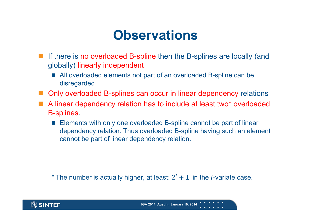### **Observations**

- If there is no overloaded B-spline then the B-splines are locally (and globally) linearly independent
	- All overloaded elements not part of an overloaded B-spline can be disregarded
- Only overloaded B-splines can occur in linear dependency relations
- A linear dependency relation has to include at least two<sup>\*</sup> overloaded B-splines.
	- **Elements with only one overloaded B-spline cannot be part of linear** dependency relation. Thus overloaded B-spline having such an element cannot be part of linear dependency relation.

\* The number is actually higher, at least:  $2^l + 1$  in the *l*-variate case.

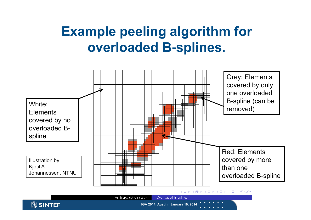# **Example peeling algorithm for overloaded B-splines.**



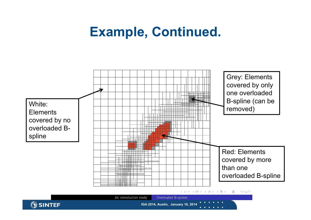### **Example, Continued.**



ାର୍ବ イロト イ団ト イミト イミト 信



**IGA 2014, Austin, January 10, 2014**

An introduction study

Overloaded B-splines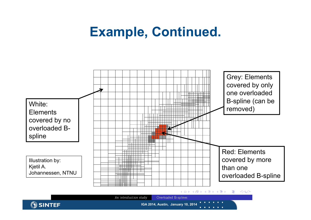## **Example, Continued.**



Overloaded B-splines An introduction study **SINTEF IGA 2014, Austin, January 10, 2014**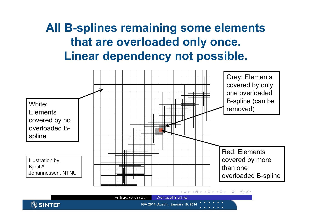#### **All B-splines remaining some elements that are overloaded only once. Linear dependency not possible.**



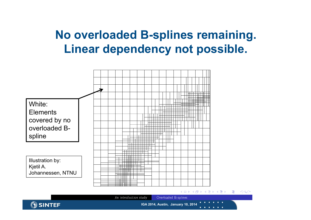#### **No overloaded B-splines remaining. Linear dependency not possible.**



イロト イ団ト イミト イミト ■ 三 ୍ରସ୍ତ

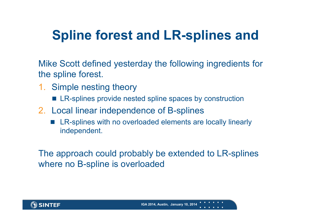# **Spline forest and LR-splines and**

Mike Scott defined yesterday the following ingredients for the spline forest.

- 1. Simple nesting theory
	- LR-splines provide nested spline spaces by construction
- 2. Local linear independence of B-splines
	- Г LR-splines with no overloaded elements are locally linearly independent.

The approach could probably be extended to LR-splines where no B-spline is overloaded